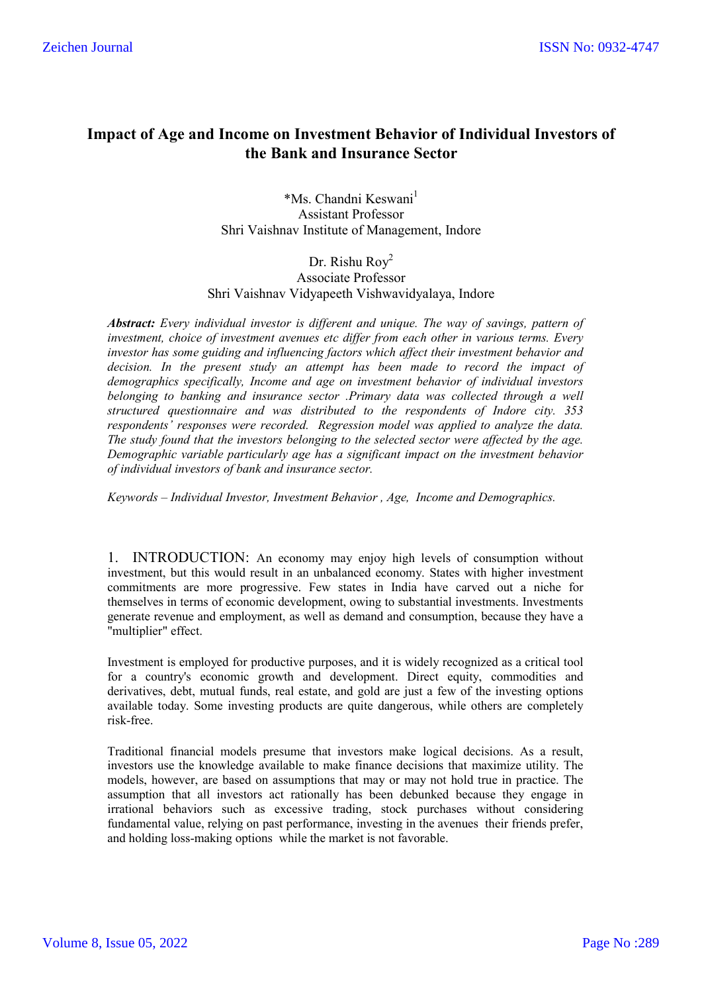# **Impact of Age and Income on Investment Behavior of Individual Investors of the Bank and Insurance Sector**

\*Ms. Chandni Keswani<sup>1</sup> Assistant Professor Shri Vaishnav Institute of Management, Indore

Dr. Rishu Roy<sup>2</sup> Associate Professor Shri Vaishnav Vidyapeeth Vishwavidyalaya, Indore

*Abstract: Every individual investor is different and unique. The way of savings, pattern of investment, choice of investment avenues etc differ from each other in various terms. Every investor has some guiding and influencing factors which affect their investment behavior and decision. In the present study an attempt has been made to record the impact of demographics specifically, Income and age on investment behavior of individual investors belonging to banking and insurance sector .Primary data was collected through a well structured questionnaire and was distributed to the respondents of Indore city. 353 respondents' responses were recorded. Regression model was applied to analyze the data. The study found that the investors belonging to the selected sector were affected by the age. Demographic variable particularly age has a significant impact on the investment behavior of individual investors of bank and insurance sector.*

*Keywords – Individual Investor, Investment Behavior , Age, Income and Demographics.*

1. INTRODUCTION: An economy may enjoy high levels of consumption without investment, but this would result in an unbalanced economy. States with higher investment commitments are more progressive. Few states in India have carved out a niche for themselves in terms of economic development, owing to substantial investments. Investments generate revenue and employment, as well as demand and consumption, because they have a "multiplier" effect.

Investment is employed for productive purposes, and it is widely recognized as a critical tool for a country's economic growth and development. Direct equity, commodities and derivatives, debt, mutual funds, real estate, and gold are just a few of the investing options available today. Some investing products are quite dangerous, while others are completely risk-free.

Traditional financial models presume that investors make logical decisions. As a result, investors use the knowledge available to make finance decisions that maximize utility. The models, however, are based on assumptions that may or may not hold true in practice. The assumption that all investors act rationally has been debunked because they engage in irrational behaviors such as excessive trading, stock purchases without considering fundamental value, relying on past performance, investing in the avenues their friends prefer, and holding loss-making options while the market is not favorable.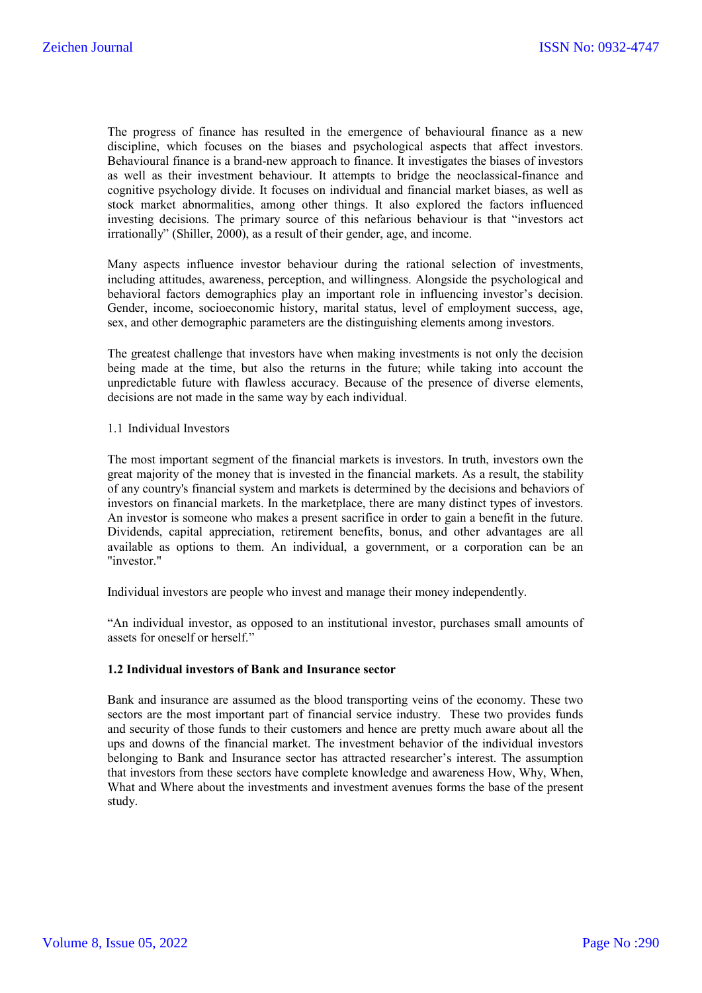The progress of finance has resulted in the emergence of behavioural finance as a new discipline, which focuses on the biases and psychological aspects that affect investors. Behavioural finance is a brand-new approach to finance. It investigates the biases of investors as well as their investment behaviour. It attempts to bridge the neoclassical-finance and cognitive psychology divide. It focuses on individual and financial market biases, as well as stock market abnormalities, among other things. It also explored the factors influenced investing decisions. The primary source of this nefarious behaviour is that "investors act irrationally" (Shiller, 2000), as a result of their gender, age, and income.

Many aspects influence investor behaviour during the rational selection of investments, including attitudes, awareness, perception, and willingness. Alongside the psychological and behavioral factors demographics play an important role in influencing investor's decision. Gender, income, socioeconomic history, marital status, level of employment success, age, sex, and other demographic parameters are the distinguishing elements among investors.

The greatest challenge that investors have when making investments is not only the decision being made at the time, but also the returns in the future; while taking into account the unpredictable future with flawless accuracy. Because of the presence of diverse elements, decisions are not made in the same way by each individual.

#### 1.1 Individual Investors

The most important segment of the financial markets is investors. In truth, investors own the great majority of the money that is invested in the financial markets. As a result, the stability of any country's financial system and markets is determined by the decisions and behaviors of investors on financial markets. In the marketplace, there are many distinct types of investors. An investor is someone who makes a present sacrifice in order to gain a benefit in the future. Dividends, capital appreciation, retirement benefits, bonus, and other advantages are all available as options to them. An individual, a government, or a corporation can be an "investor."

Individual investors are people who invest and manage their money independently.

"An individual investor, as opposed to an institutional investor, purchases small amounts of assets for oneself or herself."

#### **1.2 Individual investors of Bank and Insurance sector**

Bank and insurance are assumed as the blood transporting veins of the economy. These two sectors are the most important part of financial service industry. These two provides funds and security of those funds to their customers and hence are pretty much aware about all the ups and downs of the financial market. The investment behavior of the individual investors belonging to Bank and Insurance sector has attracted researcher's interest. The assumption that investors from these sectors have complete knowledge and awareness How, Why, When, What and Where about the investments and investment avenues forms the base of the present study.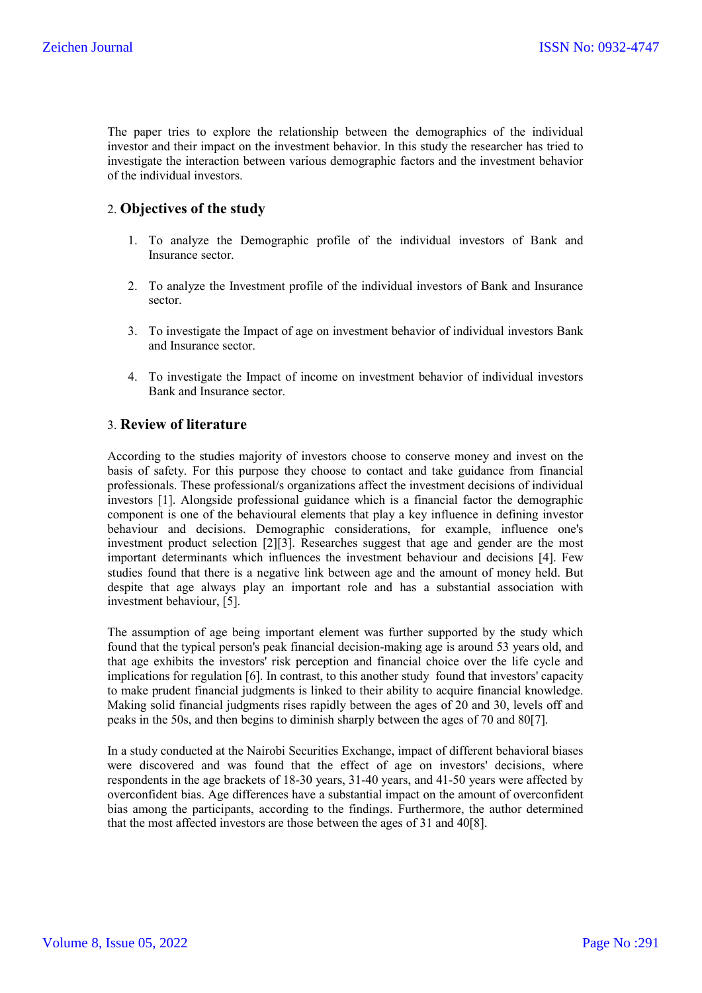The paper tries to explore the relationship between the demographics of the individual investor and their impact on the investment behavior. In this study the researcher has tried to investigate the interaction between various demographic factors and the investment behavior of the individual investors.

## 2. **Objectives of the study**

- 1. To analyze the Demographic profile of the individual investors of Bank and Insurance sector.
- 2. To analyze the Investment profile of the individual investors of Bank and Insurance sector.
- 3. To investigate the Impact of age on investment behavior of individual investors Bank and Insurance sector.
- 4. To investigate the Impact of income on investment behavior of individual investors Bank and Insurance sector.

## 3. **Review of literature**

According to the studies majority of investors choose to conserve money and invest on the basis of safety. For this purpose they choose to contact and take guidance from financial professionals. These professional/s organizations affect the investment decisions of individual investors [1]. Alongside professional guidance which is a financial factor the demographic component is one of the behavioural elements that play a key influence in defining investor behaviour and decisions. Demographic considerations, for example, influence one's investment product selection [2][3]. Researches suggest that age and gender are the most important determinants which influences the investment behaviour and decisions [4]. Few studies found that there is a negative link between age and the amount of money held. But despite that age always play an important role and has a substantial association with investment behaviour, [5].

The assumption of age being important element was further supported by the study which found that the typical person's peak financial decision-making age is around 53 years old, and that age exhibits the investors' risk perception and financial choice over the life cycle and implications for regulation [6]. In contrast, to this another study found that investors' capacity to make prudent financial judgments is linked to their ability to acquire financial knowledge. Making solid financial judgments rises rapidly between the ages of 20 and 30, levels off and peaks in the 50s, and then begins to diminish sharply between the ages of 70 and 80[7].

In a study conducted at the Nairobi Securities Exchange, impact of different behavioral biases were discovered and was found that the effect of age on investors' decisions, where respondents in the age brackets of 18-30 years, 31-40 years, and 41-50 years were affected by overconfident bias. Age differences have a substantial impact on the amount of overconfident bias among the participants, according to the findings. Furthermore, the author determined that the most affected investors are those between the ages of 31 and 40[8].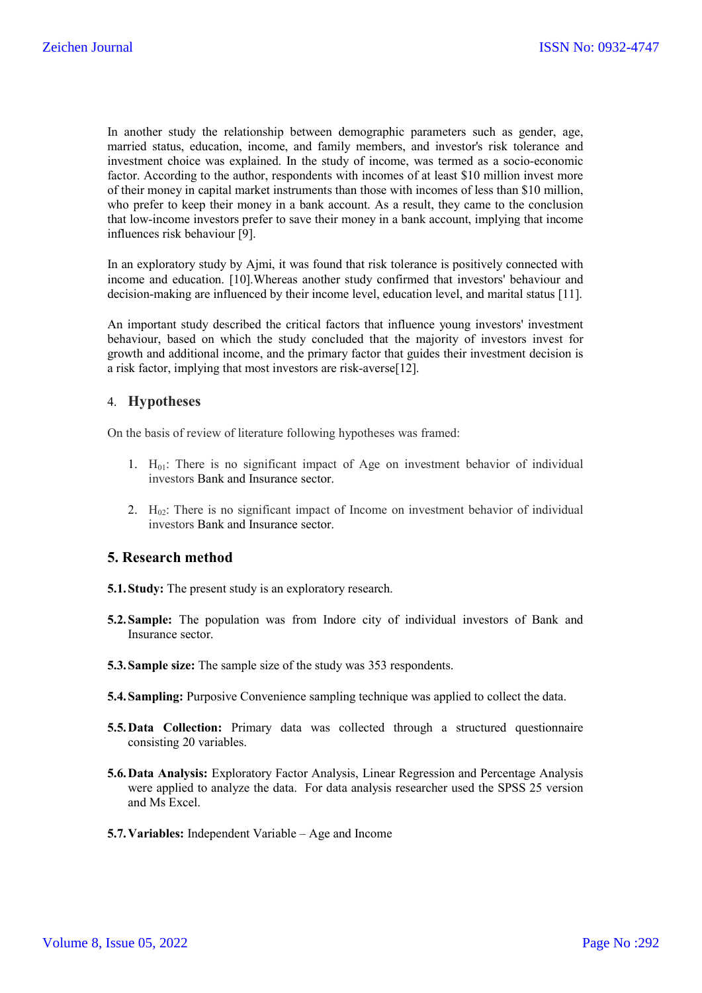In another study the relationship between demographic parameters such as gender, age, married status, education, income, and family members, and investor's risk tolerance and investment choice was explained. In the study of income, was termed as a socio-economic factor. According to the author, respondents with incomes of at least \$10 million invest more of their money in capital market instruments than those with incomes of less than \$10 million, who prefer to keep their money in a bank account. As a result, they came to the conclusion that low-income investors prefer to save their money in a bank account, implying that income influences risk behaviour [9].

In an exploratory study by Ajmi, it was found that risk tolerance is positively connected with income and education. [10].Whereas another study confirmed that investors' behaviour and decision-making are influenced by their income level, education level, and marital status [11].

An important study described the critical factors that influence young investors' investment behaviour, based on which the study concluded that the majority of investors invest for growth and additional income, and the primary factor that guides their investment decision is a risk factor, implying that most investors are risk-averse[12].

## 4. **Hypotheses**

On the basis of review of literature following hypotheses was framed:

- 1.  $H_{01}$ : There is no significant impact of Age on investment behavior of individual investors Bank and Insurance sector.
- 2.  $H_{02}$ : There is no significant impact of Income on investment behavior of individual investors Bank and Insurance sector.

## **5. Research method**

- **5.1.Study:** The present study is an exploratory research.
- **5.2.Sample:** The population was from Indore city of individual investors of Bank and Insurance sector.
- **5.3.Sample size:** The sample size of the study was 353 respondents.
- **5.4. Sampling:** Purposive Convenience sampling technique was applied to collect the data.
- **5.5.Data Collection:** Primary data was collected through a structured questionnaire consisting 20 variables.
- **5.6.Data Analysis:** Exploratory Factor Analysis, Linear Regression and Percentage Analysis were applied to analyze the data. For data analysis researcher used the SPSS 25 version and Ms Excel.
- **5.7.Variables:** Independent Variable Age and Income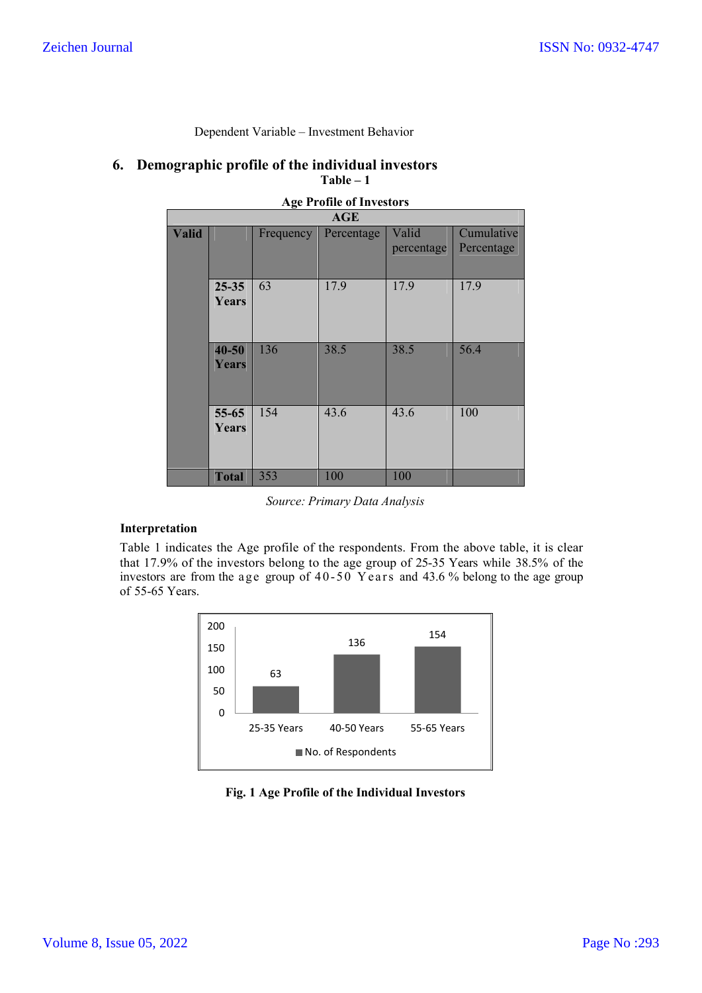| <b>Age Profile of Investors</b> |                           |           |            |                     |                          |  |  |
|---------------------------------|---------------------------|-----------|------------|---------------------|--------------------------|--|--|
|                                 |                           |           | AGE        |                     |                          |  |  |
| <b>Valid</b>                    |                           | Frequency | Percentage | Valid<br>percentage | Cumulative<br>Percentage |  |  |
|                                 | $25 - 35$<br>Years        | 63        | 17.9       | 17.9                | 17.9                     |  |  |
|                                 | $40 - 50$<br>Years        | 136       | 38.5       | 38.5                | 56.4                     |  |  |
|                                 | $55 - 65$<br><b>Years</b> | 154       | 43.6       | 43.6                | 100                      |  |  |
|                                 | <b>Total</b>              | 353       | 100        | 100                 |                          |  |  |

Dependent Variable – Investment Behavior

### **6. Demographic profile of the individual investors Table – 1**

*Source: Primary Data Analysis*

### **Interpretation**

Table 1 indicates the Age profile of the respondents. From the above table, it is clear that 17.9% of the investors belong to the age group of 25-35 Years while 38.5% of the investors are from the age group of  $40-50$  Years and  $43.6$  % belong to the age group of 55-65 Years.



## **Fig. 1 Age Profile of the Individual Investors**

|  | <br>___<br>Years |  |
|--|------------------|--|
|  |                  |  |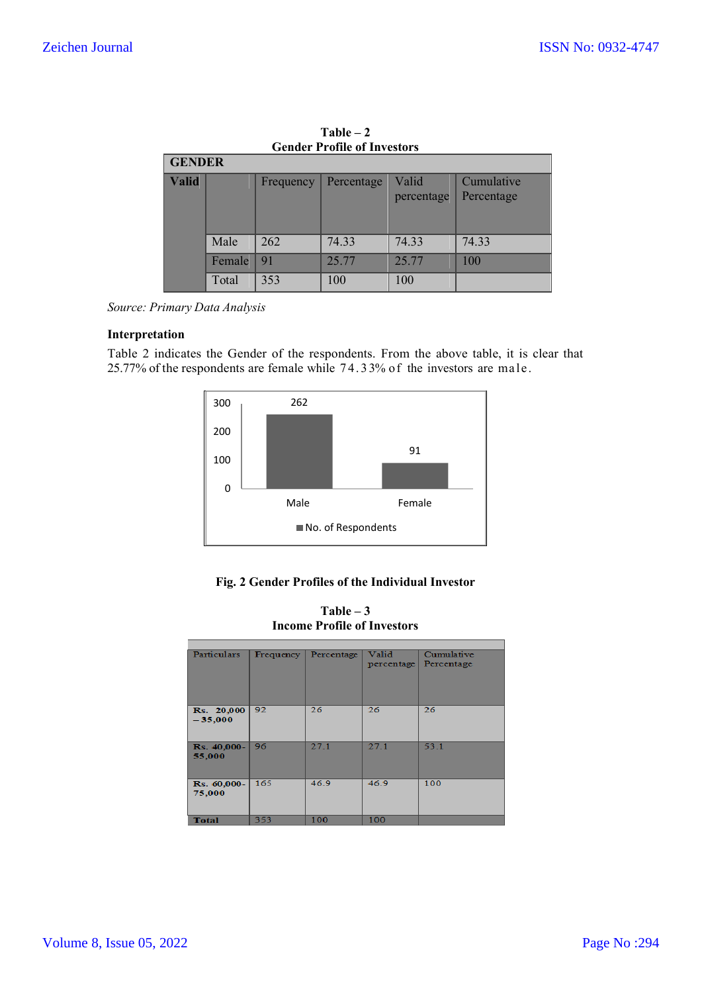|              | <b>GENDER</b> |           |            |                     |                          |  |  |
|--------------|---------------|-----------|------------|---------------------|--------------------------|--|--|
| <b>Valid</b> |               | Frequency | Percentage | Valid<br>percentage | Cumulative<br>Percentage |  |  |
|              | Male          | 262       | 74.33      | 74.33               | 74.33                    |  |  |
|              | Female        | 91        | 25.77      | 25.77               | 100                      |  |  |
|              | Total         | 353       | 100        | 100                 |                          |  |  |

**Table – 2 Gender Profile of Investors**

*Source: Primary Data Analysis*

## **Interpretation**

Table 2 indicates the Gender of the respondents. From the above table, it is clear that 25.77% of the respondents are female while 7 4. 3 3% o f the investors are ma le.



### **Fig. 2 Gender Profiles of the Individual Investor**

| <b>Income Profile of Investors</b> |           |            |                     |                          |  |  |
|------------------------------------|-----------|------------|---------------------|--------------------------|--|--|
|                                    |           |            |                     |                          |  |  |
| <b>Particulars</b>                 | Frequency | Percentage | Valid<br>percentage | Cumulative<br>Percentage |  |  |
| <b>Rs.</b> 20,000<br>$-35,000$     | 92        | 26         | 26                  | 26                       |  |  |
| Rs. 40,000-<br>55,000              | 96        | 27.1       | 27.1                | 53.1                     |  |  |
| Rs. 60,000-<br>75,000              | 165       | 46.9       | 46.9                | 100                      |  |  |
| Total                              | 353       | 100        | 100                 |                          |  |  |

**Table – 3**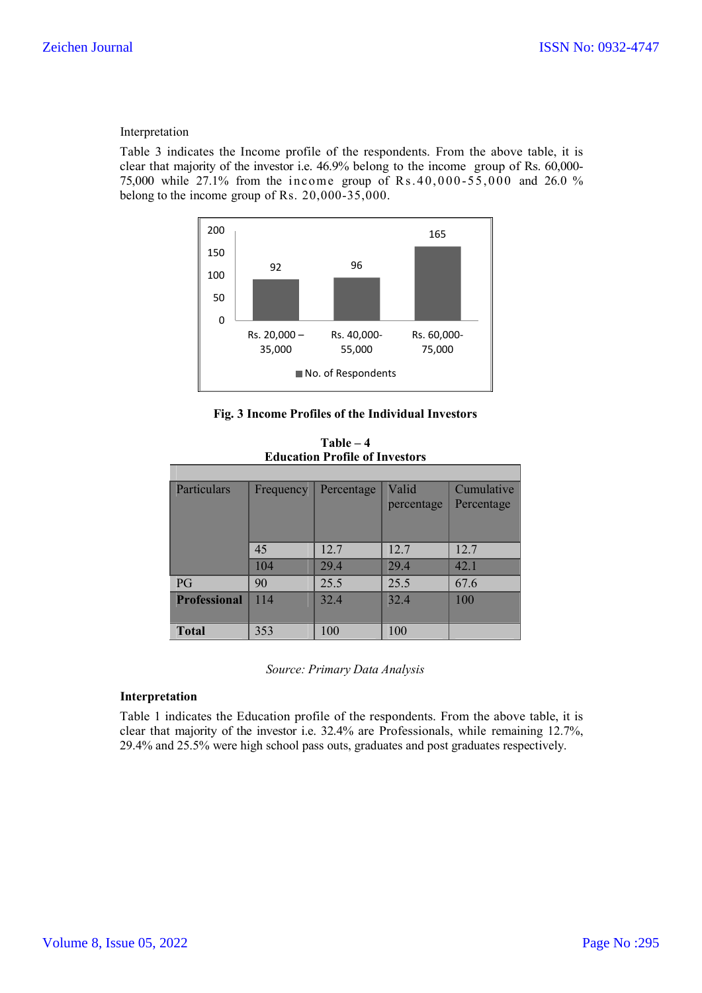#### Interpretation

Table 3 indicates the Income profile of the respondents. From the above table, it is clear that majority of the investor i.e. 46.9% belong to the income group of Rs. 60,000- 75,000 while 27.1% from the income group of Rs.40,000-55,000 and 26.0 % belong to the income group of Rs. 20,000-35,000.



#### **Fig. 3 Income Profiles of the Individual Investors**

| Particulars         | Frequency | Percentage | Valid<br>percentage | Cumulative<br>Percentage |
|---------------------|-----------|------------|---------------------|--------------------------|
|                     | 45        | 12.7       | 12.7                | 12.7                     |
|                     | 104       | 29.4       | 29.4                | 42.1                     |
| PG                  | 90        | 25.5       | 25.5                | 67.6                     |
| <b>Professional</b> | 114       | 32.4       | 32.4                | 100                      |
| <b>Total</b>        | 353       | 100        | 100                 |                          |

**Table – 4 Education Profile of Investors**

*Source: Primary Data Analysis*

#### **Interpretation**

Table 1 indicates the Education profile of the respondents. From the above table, it is clear that majority of the investor i.e. 32.4% are Professionals, while remaining 12.7%, 29.4% and 25.5% were high school pass outs, graduates and post graduates respectively.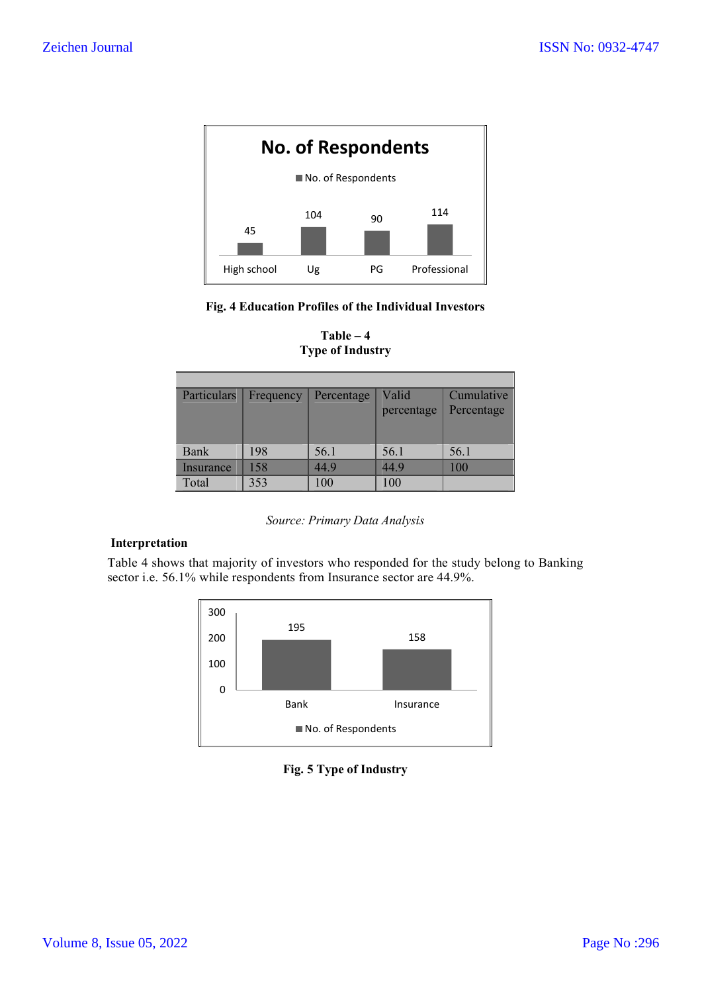

## **Fig. 4 Education Profiles of the Individual Investors**

| <b>Particulars</b> | Frequency | Percentage | Valid      | Cumulative |
|--------------------|-----------|------------|------------|------------|
|                    |           |            | percentage | Percentage |
|                    |           |            |            |            |
|                    |           |            |            |            |
| Bank               | 198       | 56.1       | 56.1       | 56.1       |
| Insurance          | 158       | 44.9       | 44.9       | 100        |
| Total              | 353       | 100        | 100        |            |

**Table – 4 Type of Industry**

### *Source: Primary Data Analysis*

### **Interpretation**

Table 4 shows that majority of investors who responded for the study belong to Banking sector i.e. 56.1% while respondents from Insurance sector are 44.9%.



## **Fig. 5 Type of Industry**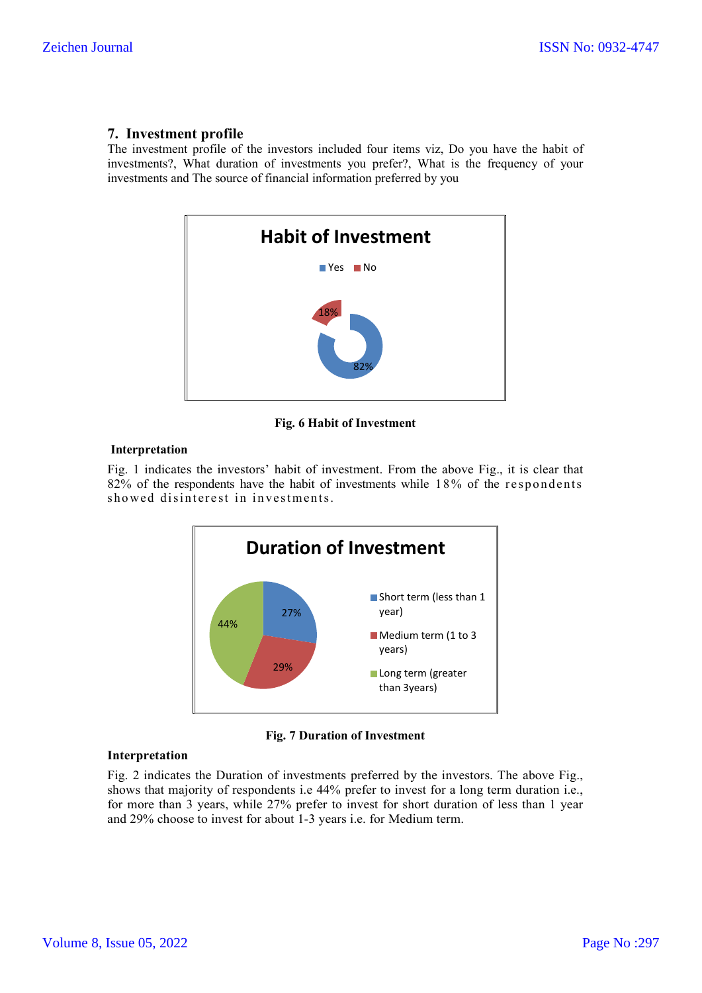## **7. Investment profile**

The investment profile of the investors included four items viz, Do you have the habit of investments?, What duration of investments you prefer?, What is the frequency of your investments and The source of financial information preferred by you



**Fig. 6 Habit of Investment**

#### **Interpretation**

Fig. 1 indicates the investors' habit of investment. From the above Fig., it is clear that  $82\%$  of the respondents have the habit of investments while  $18\%$  of the respondents showed disinterest in investments.





## **Interpretation**

Fig. 2 indicates the Duration of investments preferred by the investors. The above Fig., shows that majority of respondents i.e 44% prefer to invest for a long term duration i.e., for more than 3 years, while 27% prefer to invest for short duration of less than 1 year and 29% choose to invest for about 1-3 years i.e. for Medium term.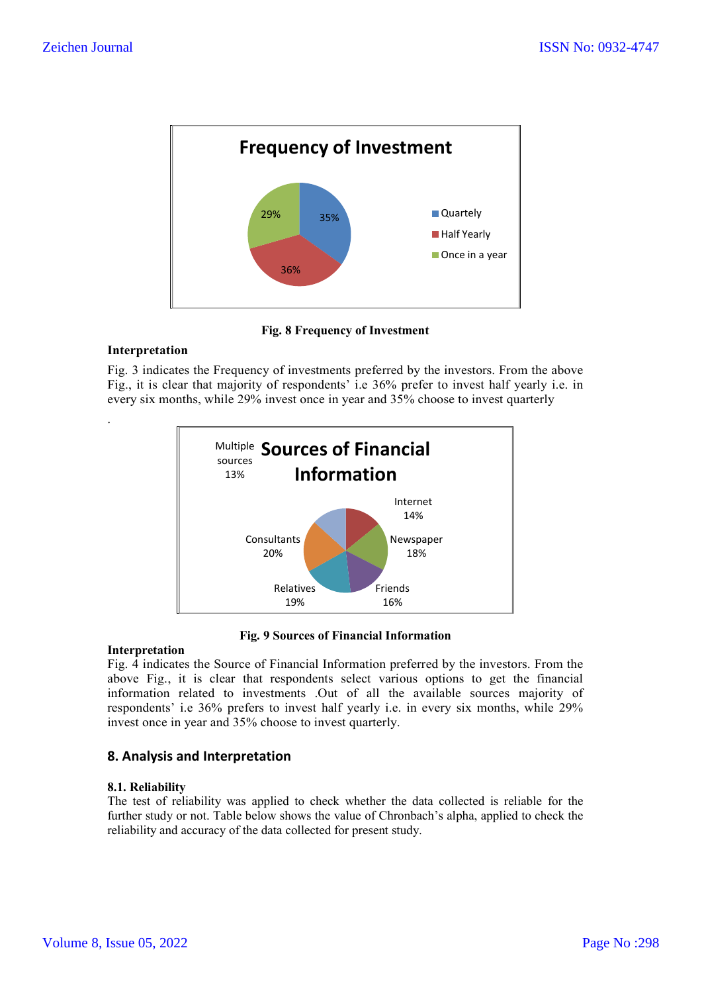

**Fig. 8 Frequency of Investment**

## **Interpretation**

.

Fig. 3 indicates the Frequency of investments preferred by the investors. From the above Fig., it is clear that majority of respondents' i.e 36% prefer to invest half yearly i.e. in every six months, while 29% invest once in year and 35% choose to invest quarterly



**Fig. 9 Sources of Financial Information**

### **Interpretation**

Fig. 4 indicates the Source of Financial Information preferred by the investors. From the above Fig., it is clear that respondents select various options to get the financial information related to investments .Out of all the available sources majority of respondents' i.e 36% prefers to invest half yearly i.e. in every six months, while 29% invest once in year and 35% choose to invest quarterly.

## **8. Analysis and Interpretation**

### **8.1. Reliability**

The test of reliability was applied to check whether the data collected is reliable for the further study or not. Table below shows the value of Chronbach's alpha, applied to check the reliability and accuracy of the data collected for present study.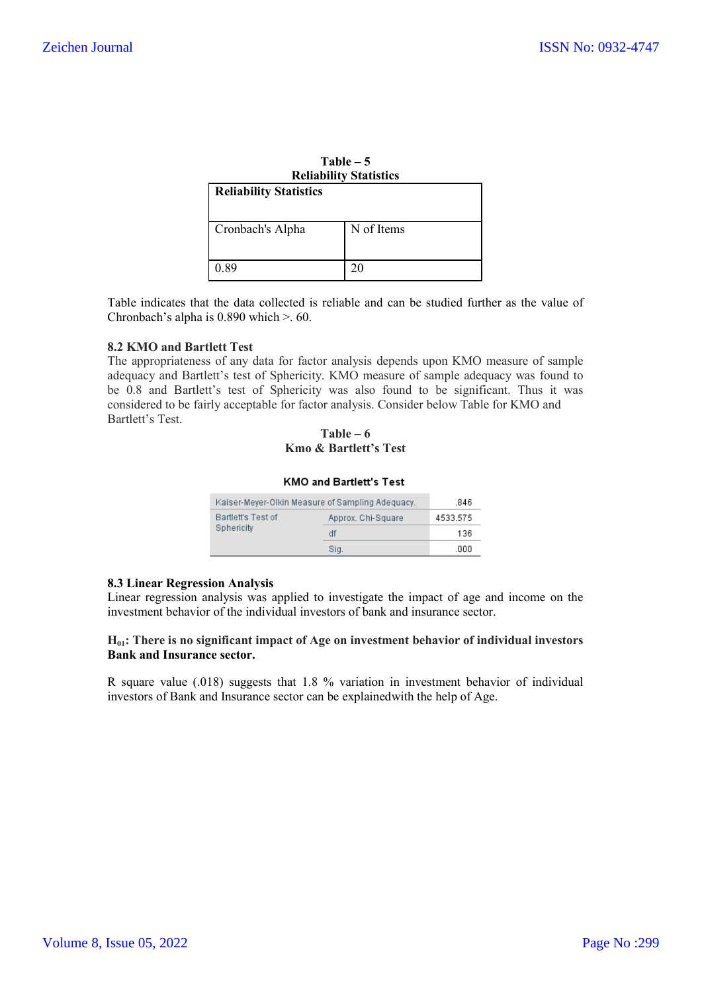| $Table - 5$<br><b>Reliability Statistics</b> |            |  |
|----------------------------------------------|------------|--|
| <b>Reliability Statistics</b>                |            |  |
| Cronbach's Alpha                             | N of Items |  |
| 0.89                                         | 20         |  |

Table indicates that the data collected is reliable and can be studied further as the value of Chronbach's alpha is 0.890 which >. 60.

#### **8.2 KMO and Bartlett Test**

The appropriateness of any data for factor analysis depends upon KMO measure of sample adequacy and Bartlett's test of Sphericity. KMO measure of sample adequacy was found to be 0.8 and Bartlett's test of Sphericity was also found to be significant. Thus it was considered to be fairly acceptable for factor analysis. Consider below Table for KMO and Bartlett's Test.

#### **Table – 6 Kmo & Bartlett's Test**

#### **KMO and Bartlett's Test**

|                    | Kaiser-Meyer-Olkin Measure of Sampling Adequacy. | .846     |
|--------------------|--------------------------------------------------|----------|
| Bartlett's Test of | Approx. Chi-Square                               | 4533.575 |
| Sphericity         | df                                               | 136      |
|                    | Sia.                                             | .000     |

#### **8.3 Linear Regression Analysis**

Linear regression analysis was applied to investigate the impact of age and income on the investment behavior of the individual investors of bank and insurance sector.

### **H01: There is no significant impact of Age on investment behavior of individual investors Bank and Insurance sector.**

R square value (.018) suggests that 1.8 % variation in investment behavior of individual investors of Bank and Insurance sector can be explainedwith the help of Age.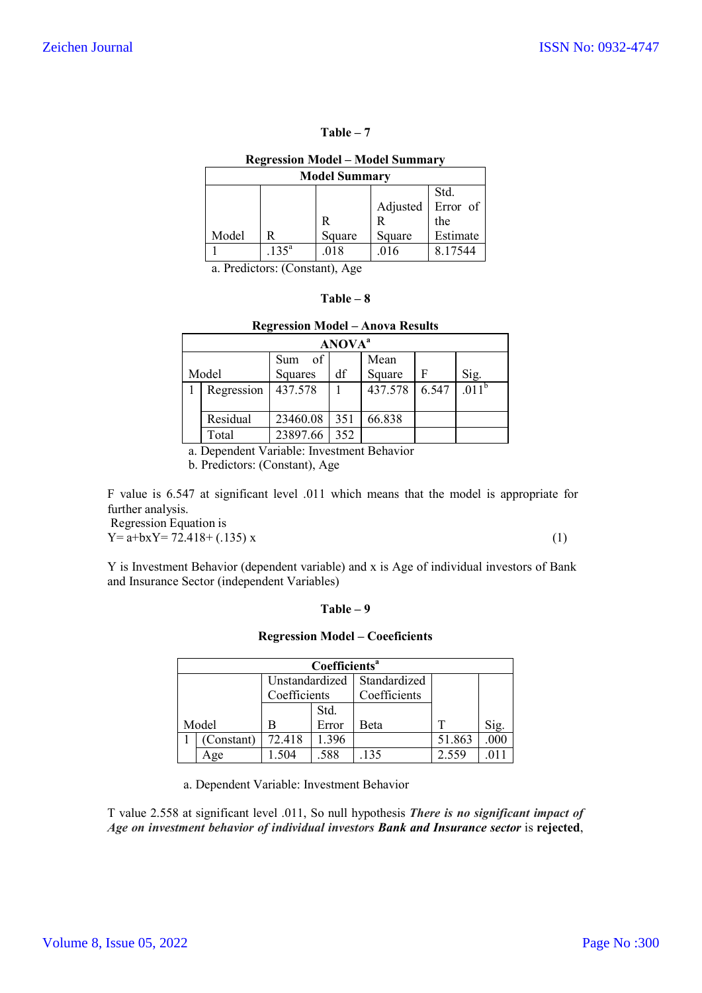#### **Table – 7**

#### **Regression Model – Model Summary**

| <b>Model Summary</b> |            |        |          |          |  |  |  |
|----------------------|------------|--------|----------|----------|--|--|--|
|                      | Std.       |        |          |          |  |  |  |
|                      |            |        | Adjusted | Error of |  |  |  |
|                      |            | R      | R        | the      |  |  |  |
| Model                | R          | Square | Square   | Estimate |  |  |  |
|                      | $.135^{a}$ | .018   | .016     | 8.17544  |  |  |  |

a. Predictors: (Constant), Age

| `able |  |  |
|-------|--|--|
|-------|--|--|

| <b>Regression Model – Anova Results</b> |                  |     |         |       |                   |  |
|-----------------------------------------|------------------|-----|---------|-------|-------------------|--|
| <b>ANOVA</b> <sup>a</sup>               |                  |     |         |       |                   |  |
|                                         | $\circ$ f<br>Sum |     | Mean    |       |                   |  |
| Model                                   | Squares          | df  | Square  | F     | Sig.              |  |
| Regression                              | 437.578          |     | 437.578 | 6.547 | .011 <sup>b</sup> |  |
|                                         |                  |     |         |       |                   |  |
| Residual                                | 23460.08         | 351 | 66.838  |       |                   |  |
| Total                                   | 23897.66         | 352 |         |       |                   |  |

a. Dependent Variable: Investment Behavior

b. Predictors: (Constant), Age

F value is 6.547 at significant level .011 which means that the model is appropriate for further analysis.

Regression Equation is  $Y = a + bxY = 72.418 + (.135) x$  (1)

Y is Investment Behavior (dependent variable) and x is Age of individual investors of Bank and Insurance Sector (independent Variables)

#### **Table – 9**

#### **Regression Model – Coeeficients**

| Coefficients <sup>a</sup> |            |                |              |              |        |      |  |
|---------------------------|------------|----------------|--------------|--------------|--------|------|--|
|                           |            | Unstandardized |              | Standardized |        |      |  |
| Coefficients              |            |                | Coefficients |              |        |      |  |
|                           |            |                | Std.         |              |        |      |  |
|                           | Model      | В              | Error        | <b>B</b> eta |        | Sig. |  |
|                           | (Constant) | 72.418         | 1.396        |              | 51.863 | .000 |  |
|                           | Age        | 1.504          | .588         | .135         | 2.559  |      |  |

a. Dependent Variable: Investment Behavior

T value 2.558 at significant level .011, So null hypothesis *There is no significant impact of Age on investment behavior of individual investors Bank and Insurance sector* is **rejected**,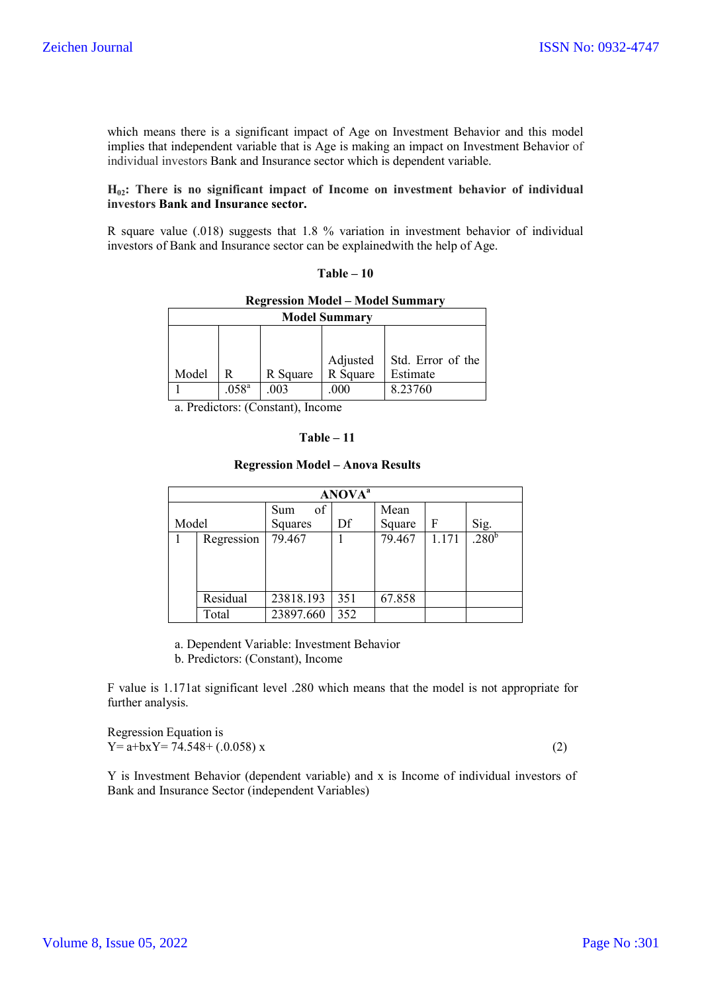which means there is a significant impact of Age on Investment Behavior and this model implies that independent variable that is Age is making an impact on Investment Behavior of individual investors Bank and Insurance sector which is dependent variable.

### **H02: There is no significant impact of Income on investment behavior of individual investors Bank and Insurance sector.**

R square value (.018) suggests that 1.8 % variation in investment behavior of individual investors of Bank and Insurance sector can be explainedwith the help of Age.

| $Table - 10$ |  |
|--------------|--|
|--------------|--|

| <b>Regression Model – Model Summary</b> |  |
|-----------------------------------------|--|
|-----------------------------------------|--|

| <b>Model Summary</b> |                   |          |          |                                          |  |
|----------------------|-------------------|----------|----------|------------------------------------------|--|
| Model                |                   | R Square | R Square | Adjusted   Std. Error of the<br>Estimate |  |
|                      | .058 <sup>a</sup> | .003     | .000     | 8.23760                                  |  |

a. Predictors: (Constant), Income

#### **Table – 11**

#### **Regression Model – Anova Results**

| ANOVA <sup>a</sup> |          |                  |     |        |       |                   |
|--------------------|----------|------------------|-----|--------|-------|-------------------|
|                    |          | of<br><b>Sum</b> |     | Mean   |       |                   |
| Model              |          | Squares          | Df  | Square | F     | Sig.              |
| Regression         |          | 79.467           |     | 79.467 | 1.171 | .280 <sup>b</sup> |
|                    |          |                  |     |        |       |                   |
|                    |          |                  |     |        |       |                   |
|                    |          |                  |     |        |       |                   |
|                    | Residual | 23818.193        | 351 | 67.858 |       |                   |
|                    | Total    | 23897.660        | 352 |        |       |                   |

a. Dependent Variable: Investment Behavior

b. Predictors: (Constant), Income

F value is 1.171at significant level .280 which means that the model is not appropriate for further analysis.

Regression Equation is  $Y = a + bX = 74.548 + (.0.058) x$  (2)

Y is Investment Behavior (dependent variable) and x is Income of individual investors of Bank and Insurance Sector (independent Variables)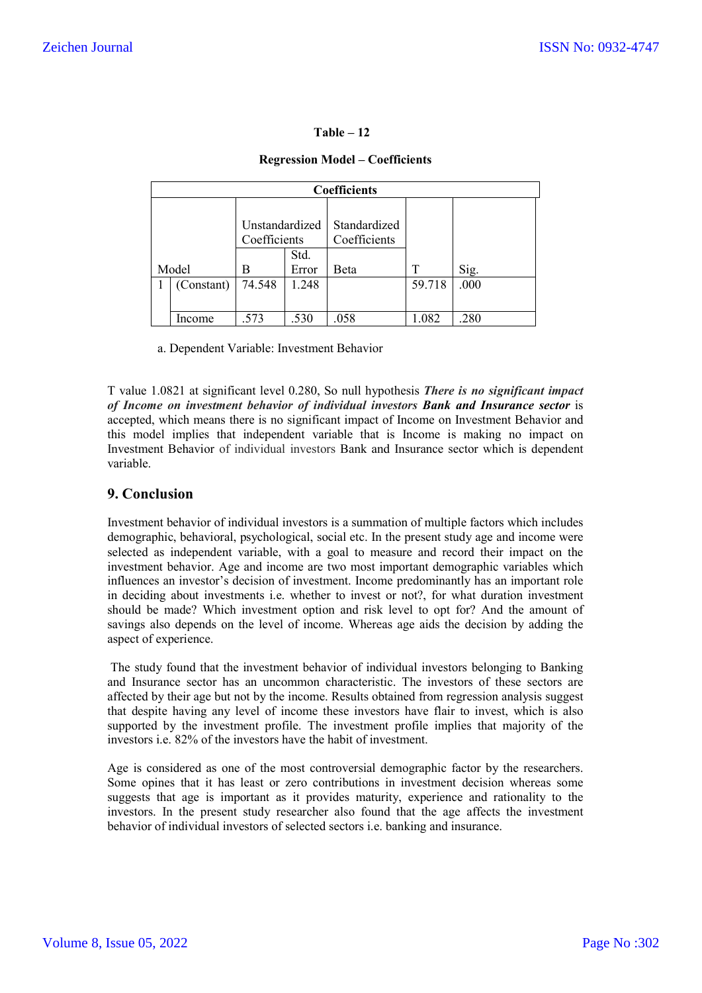### **Table – 12**

## **Regression Model – Coefficients**

| <b>Coefficients</b> |            |                                |       |                              |        |      |  |
|---------------------|------------|--------------------------------|-------|------------------------------|--------|------|--|
|                     |            | Unstandardized<br>Coefficients | Std.  | Standardized<br>Coefficients |        |      |  |
|                     | Model      | В                              | Error | Beta                         |        | Sig. |  |
|                     | (Constant) | 74.548                         | 1.248 |                              | 59.718 | .000 |  |
|                     | Income     | .573                           | .530  | .058                         | 1.082  | .280 |  |

a. Dependent Variable: Investment Behavior

T value 1.0821 at significant level 0.280, So null hypothesis *There is no significant impact of Income on investment behavior of individual investors Bank and Insurance sector* is accepted, which means there is no significant impact of Income on Investment Behavior and this model implies that independent variable that is Income is making no impact on Investment Behavior of individual investors Bank and Insurance sector which is dependent variable.

## **9. Conclusion**

Investment behavior of individual investors is a summation of multiple factors which includes demographic, behavioral, psychological, social etc. In the present study age and income were selected as independent variable, with a goal to measure and record their impact on the investment behavior. Age and income are two most important demographic variables which influences an investor's decision of investment. Income predominantly has an important role in deciding about investments i.e. whether to invest or not?, for what duration investment should be made? Which investment option and risk level to opt for? And the amount of savings also depends on the level of income. Whereas age aids the decision by adding the aspect of experience.

The study found that the investment behavior of individual investors belonging to Banking and Insurance sector has an uncommon characteristic. The investors of these sectors are affected by their age but not by the income. Results obtained from regression analysis suggest that despite having any level of income these investors have flair to invest, which is also supported by the investment profile. The investment profile implies that majority of the investors i.e. 82% of the investors have the habit of investment.

Age is considered as one of the most controversial demographic factor by the researchers. Some opines that it has least or zero contributions in investment decision whereas some suggests that age is important as it provides maturity, experience and rationality to the investors. In the present study researcher also found that the age affects the investment behavior of individual investors of selected sectors i.e. banking and insurance.